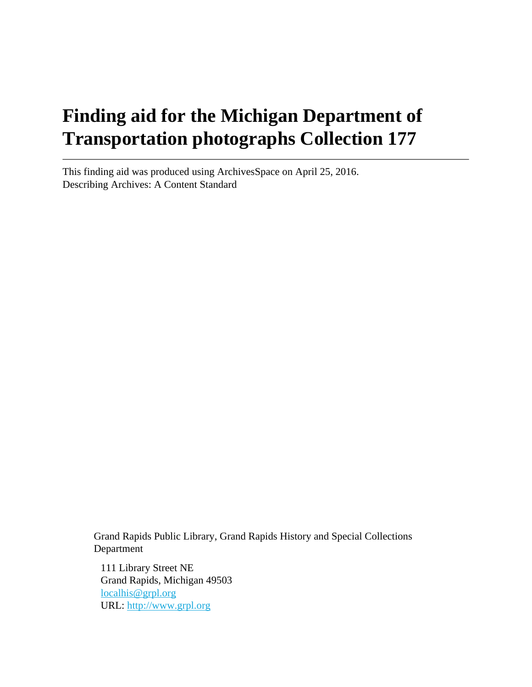# **Finding aid for the Michigan Department of Transportation photographs Collection 177**

This finding aid was produced using ArchivesSpace on April 25, 2016. Describing Archives: A Content Standard

> Grand Rapids Public Library, Grand Rapids History and Special Collections Department

111 Library Street NE Grand Rapids, Michigan 49503 [localhis@grpl.org](mailto:localhis@grpl.org) URL:<http://www.grpl.org>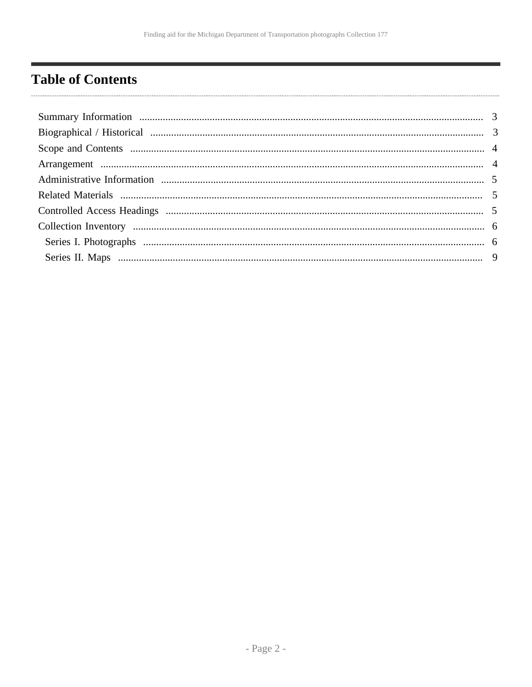# <span id="page-1-0"></span>**Table of Contents**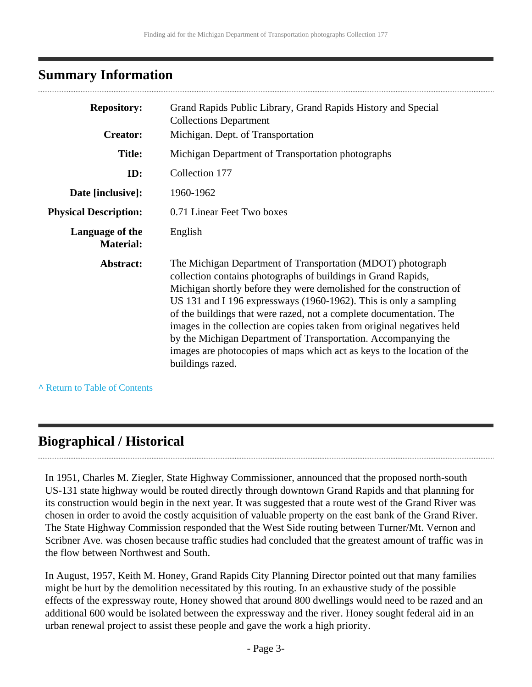### <span id="page-2-0"></span>**Summary Information**

| <b>Repository:</b>                  | Grand Rapids Public Library, Grand Rapids History and Special<br><b>Collections Department</b>                                                                                                                                                                                                                                                                                                                                                                                                                                                                                              |  |
|-------------------------------------|---------------------------------------------------------------------------------------------------------------------------------------------------------------------------------------------------------------------------------------------------------------------------------------------------------------------------------------------------------------------------------------------------------------------------------------------------------------------------------------------------------------------------------------------------------------------------------------------|--|
| <b>Creator:</b>                     | Michigan. Dept. of Transportation                                                                                                                                                                                                                                                                                                                                                                                                                                                                                                                                                           |  |
| <b>Title:</b>                       | Michigan Department of Transportation photographs                                                                                                                                                                                                                                                                                                                                                                                                                                                                                                                                           |  |
| ID:                                 | Collection 177                                                                                                                                                                                                                                                                                                                                                                                                                                                                                                                                                                              |  |
| Date [inclusive]:                   | 1960-1962                                                                                                                                                                                                                                                                                                                                                                                                                                                                                                                                                                                   |  |
| <b>Physical Description:</b>        | 0.71 Linear Feet Two boxes                                                                                                                                                                                                                                                                                                                                                                                                                                                                                                                                                                  |  |
| Language of the<br><b>Material:</b> | English                                                                                                                                                                                                                                                                                                                                                                                                                                                                                                                                                                                     |  |
| Abstract:                           | The Michigan Department of Transportation (MDOT) photograph<br>collection contains photographs of buildings in Grand Rapids,<br>Michigan shortly before they were demolished for the construction of<br>US 131 and I 196 expressways (1960-1962). This is only a sampling<br>of the buildings that were razed, not a complete documentation. The<br>images in the collection are copies taken from original negatives held<br>by the Michigan Department of Transportation. Accompanying the<br>images are photocopies of maps which act as keys to the location of the<br>buildings razed. |  |

**^** [Return to Table of Contents](#page-1-0)

# <span id="page-2-1"></span>**Biographical / Historical**

In 1951, Charles M. Ziegler, State Highway Commissioner, announced that the proposed north-south US-131 state highway would be routed directly through downtown Grand Rapids and that planning for its construction would begin in the next year. It was suggested that a route west of the Grand River was chosen in order to avoid the costly acquisition of valuable property on the east bank of the Grand River. The State Highway Commission responded that the West Side routing between Turner/Mt. Vernon and Scribner Ave. was chosen because traffic studies had concluded that the greatest amount of traffic was in the flow between Northwest and South.

In August, 1957, Keith M. Honey, Grand Rapids City Planning Director pointed out that many families might be hurt by the demolition necessitated by this routing. In an exhaustive study of the possible effects of the expressway route, Honey showed that around 800 dwellings would need to be razed and an additional 600 would be isolated between the expressway and the river. Honey sought federal aid in an urban renewal project to assist these people and gave the work a high priority.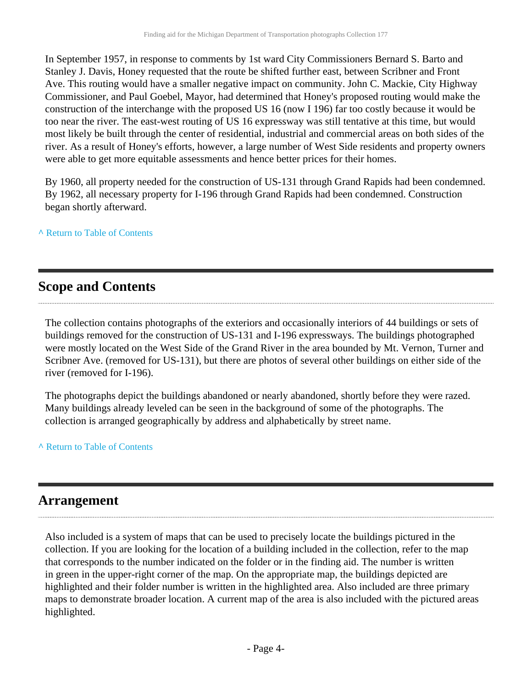In September 1957, in response to comments by 1st ward City Commissioners Bernard S. Barto and Stanley J. Davis, Honey requested that the route be shifted further east, between Scribner and Front Ave. This routing would have a smaller negative impact on community. John C. Mackie, City Highway Commissioner, and Paul Goebel, Mayor, had determined that Honey's proposed routing would make the construction of the interchange with the proposed US 16 (now I 196) far too costly because it would be too near the river. The east-west routing of US 16 expressway was still tentative at this time, but would most likely be built through the center of residential, industrial and commercial areas on both sides of the river. As a result of Honey's efforts, however, a large number of West Side residents and property owners were able to get more equitable assessments and hence better prices for their homes.

By 1960, all property needed for the construction of US-131 through Grand Rapids had been condemned. By 1962, all necessary property for I-196 through Grand Rapids had been condemned. Construction began shortly afterward.

**^** [Return to Table of Contents](#page-1-0)

# <span id="page-3-0"></span>**Scope and Contents**

The collection contains photographs of the exteriors and occasionally interiors of 44 buildings or sets of buildings removed for the construction of US-131 and I-196 expressways. The buildings photographed were mostly located on the West Side of the Grand River in the area bounded by Mt. Vernon, Turner and Scribner Ave. (removed for US-131), but there are photos of several other buildings on either side of the river (removed for I-196).

The photographs depict the buildings abandoned or nearly abandoned, shortly before they were razed. Many buildings already leveled can be seen in the background of some of the photographs. The collection is arranged geographically by address and alphabetically by street name.

**^** [Return to Table of Contents](#page-1-0)

# <span id="page-3-1"></span>**Arrangement**

Also included is a system of maps that can be used to precisely locate the buildings pictured in the collection. If you are looking for the location of a building included in the collection, refer to the map that corresponds to the number indicated on the folder or in the finding aid. The number is written in green in the upper-right corner of the map. On the appropriate map, the buildings depicted are highlighted and their folder number is written in the highlighted area. Also included are three primary maps to demonstrate broader location. A current map of the area is also included with the pictured areas highlighted.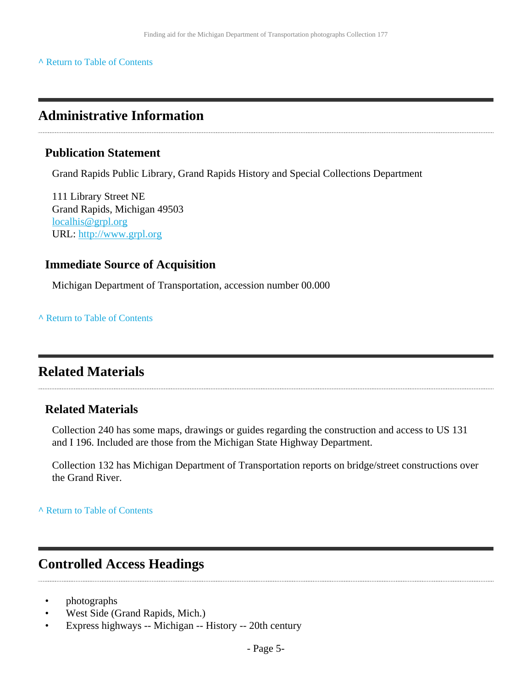#### **^** [Return to Table of Contents](#page-1-0)

### <span id="page-4-0"></span>**Administrative Information**

#### **Publication Statement**

Grand Rapids Public Library, Grand Rapids History and Special Collections Department

111 Library Street NE Grand Rapids, Michigan 49503 [localhis@grpl.org](mailto:localhis@grpl.org) URL:<http://www.grpl.org>

### **Immediate Source of Acquisition**

Michigan Department of Transportation, accession number 00.000

**^** [Return to Table of Contents](#page-1-0)

### <span id="page-4-1"></span>**Related Materials**

#### **Related Materials**

Collection 240 has some maps, drawings or guides regarding the construction and access to US 131 and I 196. Included are those from the Michigan State Highway Department.

Collection 132 has Michigan Department of Transportation reports on bridge/street constructions over the Grand River.

**^** [Return to Table of Contents](#page-1-0)

### <span id="page-4-2"></span>**Controlled Access Headings**

- photographs
- West Side (Grand Rapids, Mich.)
- Express highways -- Michigan -- History -- 20th century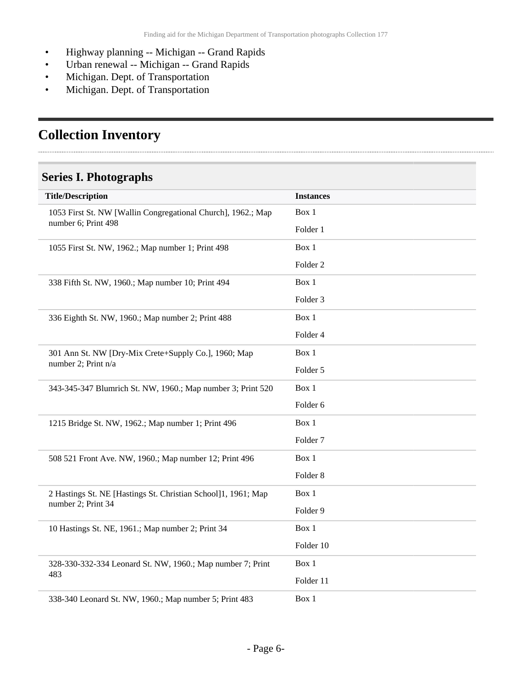- Highway planning -- Michigan -- Grand Rapids
- Urban renewal -- Michigan -- Grand Rapids
- Michigan. Dept. of Transportation
- Michigan. Dept. of Transportation

# <span id="page-5-0"></span>**Collection Inventory**

### <span id="page-5-1"></span>**Series I. Photographs**

| <b>Title/Description</b>                                                            | <b>Instances</b>    |
|-------------------------------------------------------------------------------------|---------------------|
| 1053 First St. NW [Wallin Congregational Church], 1962.; Map<br>number 6; Print 498 | Box 1               |
|                                                                                     | Folder 1            |
| 1055 First St. NW, 1962.; Map number 1; Print 498                                   | Box 1               |
|                                                                                     | Folder <sub>2</sub> |
| 338 Fifth St. NW, 1960.; Map number 10; Print 494                                   | Box 1               |
|                                                                                     | Folder 3            |
| 336 Eighth St. NW, 1960.; Map number 2; Print 488                                   | Box 1               |
|                                                                                     | Folder 4            |
| 301 Ann St. NW [Dry-Mix Crete+Supply Co.], 1960; Map                                | Box 1               |
| number 2; Print n/a                                                                 | Folder 5            |
| 343-345-347 Blumrich St. NW, 1960.; Map number 3; Print 520                         | Box 1               |
|                                                                                     | Folder 6            |
| 1215 Bridge St. NW, 1962.; Map number 1; Print 496                                  | Box 1               |
|                                                                                     | Folder <sub>7</sub> |
| 508 521 Front Ave. NW, 1960.; Map number 12; Print 496                              | Box 1               |
|                                                                                     | Folder <sub>8</sub> |
| 2 Hastings St. NE [Hastings St. Christian School]1, 1961; Map<br>number 2; Print 34 | Box 1               |
|                                                                                     | Folder 9            |
| 10 Hastings St. NE, 1961.; Map number 2; Print 34                                   | Box 1               |
|                                                                                     | Folder 10           |
| 328-330-332-334 Leonard St. NW, 1960.; Map number 7; Print<br>483                   | Box 1               |
|                                                                                     | Folder 11           |
| 338-340 Leonard St. NW, 1960.; Map number 5; Print 483                              | Box 1               |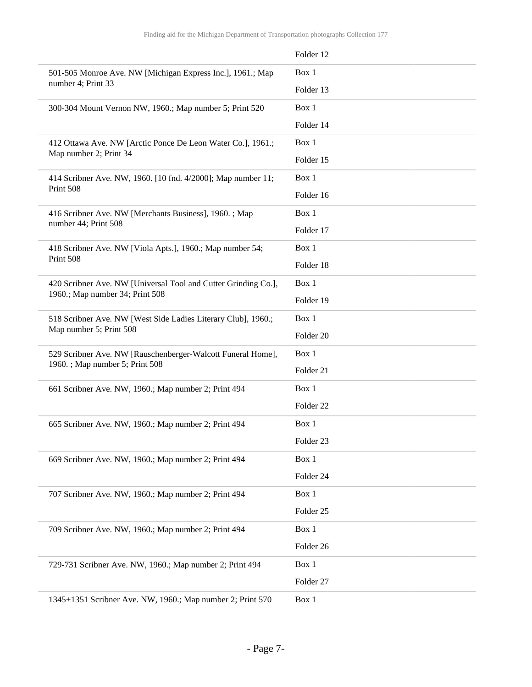|                                                                                       | Folder 12            |
|---------------------------------------------------------------------------------------|----------------------|
| 501-505 Monroe Ave. NW [Michigan Express Inc.], 1961.; Map<br>number 4; Print 33      | Box 1                |
|                                                                                       | Folder 13            |
| 300-304 Mount Vernon NW, 1960.; Map number 5; Print 520                               | Box 1                |
|                                                                                       | Folder 14            |
| 412 Ottawa Ave. NW [Arctic Ponce De Leon Water Co.], 1961.;<br>Map number 2; Print 34 | Box 1                |
|                                                                                       | Folder 15            |
| 414 Scribner Ave. NW, 1960. [10 fnd. 4/2000]; Map number 11;<br>Print 508             | Box 1                |
|                                                                                       | Folder 16            |
| 416 Scribner Ave. NW [Merchants Business], 1960.; Map<br>number 44; Print 508         | Box 1                |
|                                                                                       | Folder 17            |
| 418 Scribner Ave. NW [Viola Apts.], 1960.; Map number 54;                             | Box 1                |
| Print 508                                                                             | Folder 18            |
| 420 Scribner Ave. NW [Universal Tool and Cutter Grinding Co.],                        | Box 1                |
| 1960.; Map number 34; Print 508                                                       | Folder 19            |
| 518 Scribner Ave. NW [West Side Ladies Literary Club], 1960.;                         | Box 1                |
| Map number 5; Print 508                                                               | Folder <sub>20</sub> |
| 529 Scribner Ave. NW [Rauschenberger-Walcott Funeral Home],                           | Box 1                |
| 1960. ; Map number 5; Print 508                                                       | Folder 21            |
| 661 Scribner Ave. NW, 1960.; Map number 2; Print 494                                  | Box 1                |
|                                                                                       | Folder <sub>22</sub> |
| 665 Scribner Ave. NW, 1960.; Map number 2; Print 494                                  | Box 1                |
|                                                                                       | Folder 23            |
| 669 Scribner Ave. NW, 1960.; Map number 2; Print 494                                  | Box 1                |
|                                                                                       | Folder 24            |
| 707 Scribner Ave. NW, 1960.; Map number 2; Print 494                                  | Box 1                |
|                                                                                       | Folder 25            |
| 709 Scribner Ave. NW, 1960.; Map number 2; Print 494                                  | Box 1                |
|                                                                                       | Folder 26            |
| 729-731 Scribner Ave. NW, 1960.; Map number 2; Print 494                              | Box 1                |
|                                                                                       | Folder 27            |
| 1345+1351 Scribner Ave. NW, 1960.; Map number 2; Print 570                            | Box 1                |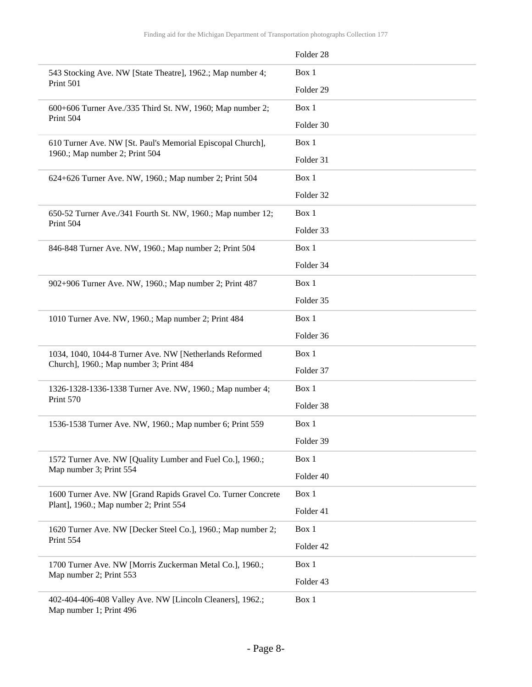|                                                                                                        | Folder 28 |
|--------------------------------------------------------------------------------------------------------|-----------|
| 543 Stocking Ave. NW [State Theatre], 1962.; Map number 4;<br>Print 501                                | Box 1     |
|                                                                                                        | Folder 29 |
| 600+606 Turner Ave./335 Third St. NW, 1960; Map number 2;<br>Print 504                                 | Box 1     |
|                                                                                                        | Folder 30 |
| 610 Turner Ave. NW [St. Paul's Memorial Episcopal Church],<br>1960.; Map number 2; Print 504           | Box 1     |
|                                                                                                        | Folder 31 |
| 624+626 Turner Ave. NW, 1960.; Map number 2; Print 504                                                 | Box 1     |
|                                                                                                        | Folder 32 |
| 650-52 Turner Ave./341 Fourth St. NW, 1960.; Map number 12;<br>Print 504                               | Box 1     |
|                                                                                                        | Folder 33 |
| 846-848 Turner Ave. NW, 1960.; Map number 2; Print 504                                                 | Box 1     |
|                                                                                                        | Folder 34 |
| 902+906 Turner Ave. NW, 1960.; Map number 2; Print 487                                                 | Box 1     |
|                                                                                                        | Folder 35 |
| 1010 Turner Ave. NW, 1960.; Map number 2; Print 484                                                    | Box 1     |
|                                                                                                        | Folder 36 |
| 1034, 1040, 1044-8 Turner Ave. NW [Netherlands Reformed                                                | Box 1     |
| Church], 1960.; Map number 3; Print 484                                                                | Folder 37 |
| 1326-1328-1336-1338 Turner Ave. NW, 1960.; Map number 4;<br>Print 570                                  | Box 1     |
|                                                                                                        | Folder 38 |
| 1536-1538 Turner Ave. NW, 1960.; Map number 6; Print 559                                               | Box 1     |
|                                                                                                        | Folder 39 |
| 1572 Turner Ave. NW [Quality Lumber and Fuel Co.], 1960.;<br>Map number 3; Print 554                   | Box 1     |
|                                                                                                        | Folder 40 |
| 1600 Turner Ave. NW [Grand Rapids Gravel Co. Turner Concrete<br>Plant], 1960.; Map number 2; Print 554 | Box 1     |
|                                                                                                        | Folder 41 |
| 1620 Turner Ave. NW [Decker Steel Co.], 1960.; Map number 2;<br>Print 554                              | Box 1     |
|                                                                                                        | Folder 42 |
| 1700 Turner Ave. NW [Morris Zuckerman Metal Co.], 1960.;<br>Map number 2; Print 553                    | Box 1     |
|                                                                                                        | Folder 43 |
| 402-404-406-408 Valley Ave. NW [Lincoln Cleaners], 1962.;<br>Map number 1; Print 496                   | Box 1     |